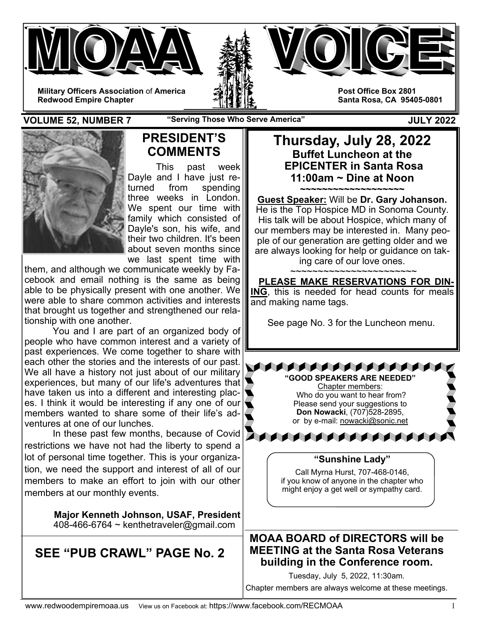



**Post Office Box 2801 Santa Rosa, CA 95405-0801** 

**VOLUME 52, NUMBER 7** The "Serving Those Who Serve America" The Music Constant Music Constant Music Constant Music Constant Music Constant Music Constant Music Constant Music Constant Music Constant Music Constant Music Co



# **PRESIDENT'S COMMENTS**

This past week Dayle and I have just returned from spending three weeks in London. We spent our time with family which consisted of Dayle's son, his wife, and their two children. It's been about seven months since we last spent time with

them, and although we communicate weekly by Facebook and email nothing is the same as being able to be physically present with one another. We were able to share common activities and interests that brought us together and strengthened our relationship with one another.

 You and I are part of an organized body of people who have common interest and a variety of past experiences. We come together to share with each other the stories and the interests of our past. We all have a history not just about of our military experiences, but many of our life's adventures that have taken us into a different and interesting places. I think it would be interesting if any one of our members wanted to share some of their life's adventures at one of our lunches.

 In these past few months, because of Covid restrictions we have not had the liberty to spend a lot of personal time together. This is your organization, we need the support and interest of all of our members to make an effort to join with our other members at our monthly events.

> **Major Kenneth Johnson, USAF, President**  408-466-6764 ~ kenthetraveler@gmail.com

**SEE "PUB CRAWL" PAGE No. 2** 

**Thursday, July 28, 2022 Buffet Luncheon at the EPICENTER in Santa Rosa 11:00am ~ Dine at Noon** 

**~~~~~~~~~~~~~~~~~~~ Guest Speaker:** Will be **Dr. Gary Johanson.**  He is the Top Hospice MD in Sonoma County. His talk will be about Hospice, which many of our members may be interested in. Many people of our generation are getting older and we are always looking for help or guidance on taking care of our love ones.

~~~~~~~~~~~~~~~~~~~~~~~

 **PLEASE MAKE RESERVATIONS FOR DIN-ING**, this is needed for head counts for meals and making name tags.

See page No. 3 for the Luncheon menu.



## **"Sunshine Lady"**

Call Myrna Hurst, 707-468-0146, if you know of anyone in the chapter who might enjoy a get well or sympathy card.

## **MOAA BOARD of DIRECTORS will be MEETING at the Santa Rosa Veterans building in the Conference room.**

Tuesday, July 5, 2022, 11:30am.

Chapter members are always welcome at these meetings.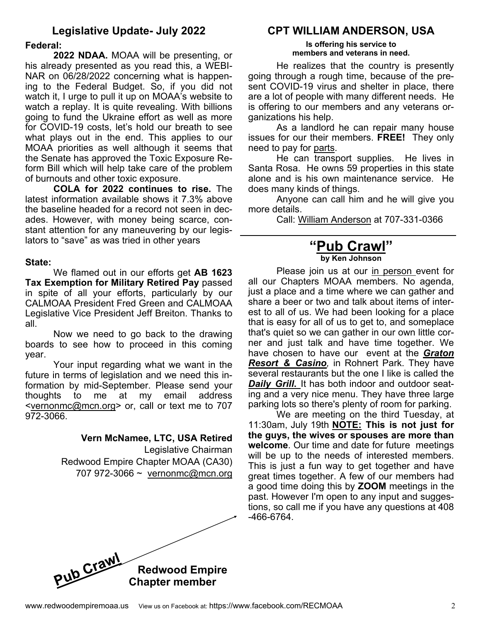# **Legislative Update- July 2022**

#### **Federal:**

**2022 NDAA.** MOAA will be presenting, or his already presented as you read this, a WEBI-NAR on 06/28/2022 concerning what is happening to the Federal Budget. So, if you did not watch it, I urge to pull it up on MOAA's website to watch a replay. It is quite revealing. With billions going to fund the Ukraine effort as well as more for COVID-19 costs, let's hold our breath to see what plays out in the end. This applies to our MOAA priorities as well although it seems that the Senate has approved the Toxic Exposure Reform Bill which will help take care of the problem of burnouts and other toxic exposure.

**COLA for 2022 continues to rise.** The latest information available shows it 7.3% above the baseline headed for a record not seen in decades. However, with money being scarce, constant attention for any maneuvering by our legislators to "save" as was tried in other vears

#### **State:**

 We flamed out in our efforts get **AB 1623 Tax Exemption for Military Retired Pay** passed in spite of all your efforts, particularly by our CALMOAA President Fred Green and CALMOAA Legislative Vice President Jeff Breiton. Thanks to all.

 Now we need to go back to the drawing boards to see how to proceed in this coming year.

 Your input regarding what we want in the future in terms of legislation and we need this information by mid-September. Please send your thoughts to me at my email address <vernonmc@mcn.org> or, call or text me to 707 972-3066.

**Vern McNamee, LTC, USA Retired** 

Legislative Chairman Redwood Empire Chapter MOAA (CA30) 707 972-3066 ~ vernonmc@mcn.org

## **CPT WILLIAM ANDERSON, USA**

**Is offering his service to members and veterans in need.** 

He realizes that the country is presently going through a rough time, because of the present COVID-19 virus and shelter in place, there are a lot of people with many different needs. He is offering to our members and any veterans organizations his help.

 As a landlord he can repair many house issues for our their members. **FREE!** They only need to pay for parts.

 He can transport supplies. He lives in Santa Rosa. He owns 59 properties in this state alone and is his own maintenance service. He does many kinds of things.

 Anyone can call him and he will give you more details.

Call: William Anderson at 707-331-0366

### **"Pub Crawl" by Ken Johnson**

 Please join us at our in person event for all our Chapters MOAA members. No agenda, just a place and a time where we can gather and share a beer or two and talk about items of interest to all of us. We had been looking for a place that is easy for all of us to get to, and someplace that's quiet so we can gather in our own little corner and just talk and have time together. We have chosen to have our event at the *Graton Resort & Casino,* in Rohnert Park. They have several restaurants but the one I like is called the *Daily Grill***.** It has both indoor and outdoor seating and a very nice menu. They have three large parking lots so there's plenty of room for parking.

 We are meeting on the third Tuesday, at 11:30am, July 19th **NOTE: This is not just for the guys, the wives or spouses are more than welcome**. Our time and date for future meetings will be up to the needs of interested members. This is just a fun way to get together and have great times together. A few of our members had a good time doing this by **ZOOM** meetings in the past. However I'm open to any input and suggestions, so call me if you have any questions at 408 -466-6764.

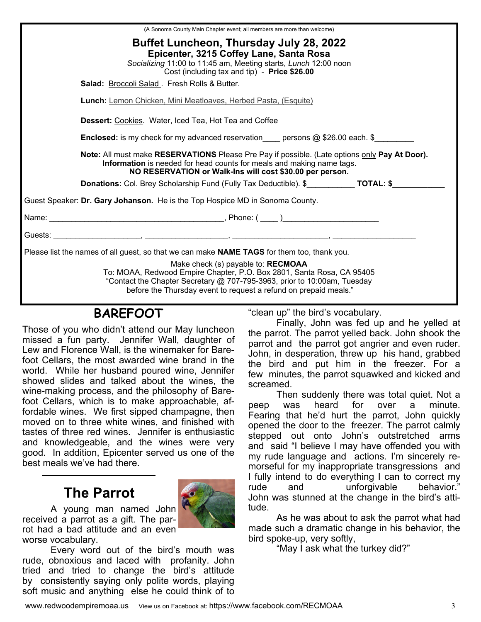| (A Sonoma County Main Chapter event; all members are more than welcome)                                                                                                                                                                                     |  |  |  |
|-------------------------------------------------------------------------------------------------------------------------------------------------------------------------------------------------------------------------------------------------------------|--|--|--|
| Buffet Luncheon, Thursday July 28, 2022<br>Epicenter, 3215 Coffey Lane, Santa Rosa<br>Socializing 11:00 to 11:45 am, Meeting starts, Lunch 12:00 noon<br>Cost (including tax and tip) - Price \$26.00                                                       |  |  |  |
| Salad: Broccoli Salad. Fresh Rolls & Butter.                                                                                                                                                                                                                |  |  |  |
| <b>Lunch:</b> Lemon Chicken, Mini Meatloaves, Herbed Pasta, (Esquite)                                                                                                                                                                                       |  |  |  |
| Dessert: Cookies. Water, Iced Tea, Hot Tea and Coffee                                                                                                                                                                                                       |  |  |  |
| <b>Enclosed:</b> is my check for my advanced reservation____ persons @ \$26.00 each. \$________                                                                                                                                                             |  |  |  |
| Note: All must make RESERVATIONS Please Pre Pay if possible. (Late options only Pay At Door).<br>Information is needed for head counts for meals and making name tags.<br>NO RESERVATION or Walk-Ins will cost \$30.00 per person.                          |  |  |  |
| <b>Donations:</b> Col. Brey Scholarship Fund (Fully Tax Deductible). \$ <b>TOTAL: \$</b>                                                                                                                                                                    |  |  |  |
| Guest Speaker: Dr. Gary Johanson. He is the Top Hospice MD in Sonoma County.                                                                                                                                                                                |  |  |  |
|                                                                                                                                                                                                                                                             |  |  |  |
|                                                                                                                                                                                                                                                             |  |  |  |
| Please list the names of all guest, so that we can make <b>NAME TAGS</b> for them too, thank you.                                                                                                                                                           |  |  |  |
| Make check (s) payable to: RECMOAA<br>To: MOAA, Redwood Empire Chapter, P.O. Box 2801, Santa Rosa, CA 95405<br>"Contact the Chapter Secretary @ 707-795-3963, prior to 10:00am, Tuesday<br>before the Thursday event to request a refund on prepaid meals." |  |  |  |

# **BAREFOOT**

Those of you who didn't attend our May luncheon missed a fun party. Jennifer Wall, daughter of Lew and Florence Wall, is the winemaker for Barefoot Cellars, the most awarded wine brand in the world. While her husband poured wine, Jennifer showed slides and talked about the wines, the wine-making process, and the philosophy of Barefoot Cellars, which is to make approachable, affordable wines. We first sipped champagne, then moved on to three white wines, and finished with tastes of three red wines. Jennifer is enthusiastic and knowledgeable, and the wines were very good. In addition, Epicenter served us one of the best meals we've had there.

# **The Parrot**

 A young man named John received a parrot as a gift. The parrot had a bad attitude and an even worse vocabulary.

 Every word out of the bird's mouth was rude, obnoxious and laced with profanity. John tried and tried to change the bird's attitude by consistently saying only polite words, playing soft music and anything else he could think of to "clean up" the bird's vocabulary.

 Finally, John was fed up and he yelled at the parrot. The parrot yelled back. John shook the parrot and the parrot got angrier and even ruder. John, in desperation, threw up his hand, grabbed the bird and put him in the freezer. For a few minutes, the parrot squawked and kicked and screamed.

 Then suddenly there was total quiet. Not a peep was heard for over a minute. Fearing that he'd hurt the parrot, John quickly opened the door to the freezer. The parrot calmly stepped out onto John's outstretched arms and said "I believe I may have offended you with my rude language and actions. I'm sincerely remorseful for my inappropriate transgressions and I fully intend to do everything I can to correct my rude and unforgivable behavior." John was stunned at the change in the bird's attitude.

 As he was about to ask the parrot what had made such a dramatic change in his behavior, the bird spoke-up, very softly,

"May I ask what the turkey did?"